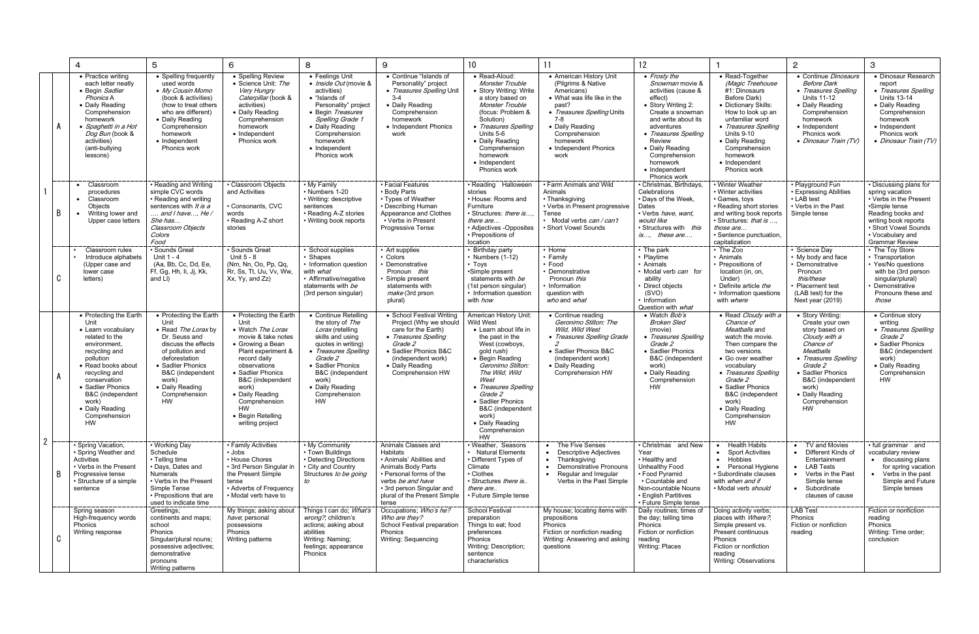|                |   | 4                                                                                                                                                                                                                                                                             | 5                                                                                                                                                                                                                              | 6                                                                                                                                                                                                                                                                                       | 8                                                                                                                                                                                                                                     | 9                                                                                                                                                                                                              | 10                                                                                                                                                                                                                                                                                                                             | 11                                                                                                                                                                                                                        | 12                                                                                                                                                                                                                                                                |                                                                                                                                                                                                                                                                                          | $\overline{2}$                                                                                                                                                                                                                                | 3                                                                                                                                                                                                      |
|----------------|---|-------------------------------------------------------------------------------------------------------------------------------------------------------------------------------------------------------------------------------------------------------------------------------|--------------------------------------------------------------------------------------------------------------------------------------------------------------------------------------------------------------------------------|-----------------------------------------------------------------------------------------------------------------------------------------------------------------------------------------------------------------------------------------------------------------------------------------|---------------------------------------------------------------------------------------------------------------------------------------------------------------------------------------------------------------------------------------|----------------------------------------------------------------------------------------------------------------------------------------------------------------------------------------------------------------|--------------------------------------------------------------------------------------------------------------------------------------------------------------------------------------------------------------------------------------------------------------------------------------------------------------------------------|---------------------------------------------------------------------------------------------------------------------------------------------------------------------------------------------------------------------------|-------------------------------------------------------------------------------------------------------------------------------------------------------------------------------------------------------------------------------------------------------------------|------------------------------------------------------------------------------------------------------------------------------------------------------------------------------------------------------------------------------------------------------------------------------------------|-----------------------------------------------------------------------------------------------------------------------------------------------------------------------------------------------------------------------------------------------|--------------------------------------------------------------------------------------------------------------------------------------------------------------------------------------------------------|
|                |   | • Practice writing<br>each letter neatly<br>• Begin Sadlier<br>Phonics A<br>• Daily Reading<br>Comprehension<br>homework<br>• Spaghetti in a Hot<br>Dog Bun (book &<br>activities)<br>(anti-bullying<br>lessons)                                                              | • Spelling frequently<br>used words<br>• My Cousin Momo<br>(book & activities)<br>(how to treat others<br>who are different)<br>• Daily Reading<br>Comprehension<br>homework<br>• Independent<br>Phonics work                  | • Spelling Review<br>• Science Unit: The<br>Very Hungry<br>Caterpillar (book &<br>activities)<br>• Daily Reading<br>Comprehension<br>homework<br>• Independent<br>Phonics work                                                                                                          | • Feelings Unit<br>• Inside Out (movie &<br>activities)<br>• "Islands of<br>Personality" project<br>• Begin Treasures<br>Spelling Grade 1<br>• Daily Reading<br>Comprehension<br>homework<br>• Independent<br>Phonics work            | • Continue "Islands of<br>Personality" project<br>• Treasures Spelling Unit<br>$3 - 4$<br>• Daily Reading<br>Comprehension<br>homework<br>• Independent Phonics<br>work                                        | • Read-Aloud:<br>Monster Trouble<br>• Story Writing: Write<br>a story based on<br>Monster Trouble<br>(focus: Problem &<br>Solution)<br>• Treasures Spelling<br>Units 5-6<br>• Daily Reading<br>Comprehension<br>homework<br>• Independent<br>Phonics work                                                                      | • American History Unit<br>(Pilgrims & Native<br>Americans)<br>• What was life like in the<br>past?<br>• Treasures Spelling Units<br>7-8<br>• Daily Reading<br>Comprehension<br>homework<br>• Independent Phonics<br>work | • Frosty the<br>Snowman movie &<br>activities (cause &<br>effect)<br>Story Writing 2:<br>Create a snowman<br>and write about its<br>adventures<br>• Treasures Spelling<br>Review<br>• Daily Reading<br>Comprehension<br>homework<br>• Independent<br>Phonics work | • Read-Together<br>(Magic Treehouse<br>#1: Dinosaurs<br>Before Dark)<br>• Dictionary Skills:<br>How to look up an<br>unfamiliar word<br>• Treasures Spelling<br><b>Units 9-10</b><br>• Daily Reading<br>Comprehension<br>homework<br>• Independent<br>Phonics work                       | • Continue Dinosaurs<br><b>Before Dark</b><br>• Treasures Spelling<br><b>Units 11-12</b><br>• Daily Reading<br>Comprehension<br>homework<br>• Independent<br>Phonics work<br>• Dinosaur Train (TV)                                            | • Dinosaur Research<br>report<br>• Treasures Spelling<br><b>Units 13-14</b><br>• Daily Reading<br>Comprehension<br>homework<br>• Independent<br>Phonics work<br>• Dinosaur Train (TV)                  |
|                | B | Classroom<br>$\bullet$<br>procedures<br>• Classroom<br>Objects<br>Writing lower and<br>$\bullet$<br>Upper case letters                                                                                                                                                        | • Reading and Writing<br>simple CVC words<br>• Reading and writing<br>sentences with It is a<br>and I have, He /<br>She has<br>Classroom Objects<br>Colors<br>Food                                                             | • Classroom Objects<br>and Activities<br>• Consonants, CVC<br>words<br>• Reading A-Z short<br>stories                                                                                                                                                                                   | • My Family<br>• Numbers 1-20<br>• Writing: descriptive<br>sentences<br>• Reading A-Z stories<br>• Writing book reports                                                                                                               | • Facial Features<br>• Body Parts<br>• Types of Weather<br>• Describing Human<br>Appearance and Clothes<br>• Verbs in Present<br><b>Progressive Tense</b>                                                      | • Reading<br>Halloween<br>stories<br>• House: Rooms and<br>Furniture<br>• Structures: there is<br>there are<br>• Adjectives -Opposites<br>• Prepositions of<br>location                                                                                                                                                        | • Farm Animals and Wild<br>Animals<br>• Thanksgiving<br>• Verbs in Present progressive<br>Tense<br>• Modal verbs <i>can / can't</i><br>• Short Vowel Sounds                                                               | · Christmas, Birthdays,<br>Celebrations<br>• Days of the Week,<br>Dates<br>· Verbs have, want,<br>would like<br>· Structures with this<br>is, these are                                                                                                           | • Winter Weather<br>• Winter activities<br>• Games, toys<br>• Reading short stories<br>and writing book reports<br>· Structures: that is<br>those are<br>• Sentence punctuation.<br>capitalization                                                                                       | • Playground Fun<br>• Expressing Abilities<br>• LAB test<br>• Verbs in the Past<br>Simple tense                                                                                                                                               | • Discussing plans for<br>spring vacation<br>• Verbs in the Present<br>•Simple tense<br>Reading books and<br>writing book reports<br>• Short Vowel Sounds<br>• Vocabulary and<br><b>Grammar Review</b> |
|                | C | Classroom rules<br>Introduce alphabets<br>(Upper case and<br>lower case<br>letters)                                                                                                                                                                                           | · Sounds Great<br>Unit 1 - 4<br>(Aa, Bb, Cc, Dd, Ee.<br>Ff, Gg, Hh, li, Jj, Kk,<br>and LI)                                                                                                                                     | · Sounds Great<br>Unit 5 - 8<br>(Nm, Nn, Oo, Pp, Qq,<br>Rr, Ss, Tt, Uu, Vv, Ww,<br>Xx, Yy, and Zz)                                                                                                                                                                                      | · School supplies<br>• Shapes<br>• Information question<br>with <i>what</i><br>• Affirmative/negative<br>statements with be<br>(3rd person singular)                                                                                  | • Art supplies<br>• Colors<br>Demonstrative<br>Pronoun this<br>Simple present<br>statements with<br>make (3rd prson<br>plural)                                                                                 | • Birthday party<br>• Numbers $(1-12)$<br>$\cdot$ Toys<br>•Simple present<br>statements with be<br>(1st person singular)<br>• Information question<br>with <i>how</i>                                                                                                                                                          | • Home<br>• Family<br>• Food<br>• Demonstrative<br>Pronoun this<br>• Information<br>question with<br>who and what                                                                                                         | • The park<br>• Playtime<br>Animals<br>Modal verb can for<br>ability<br>Direct objects<br>(SVO)<br>Information<br>Question with <i>what</i>                                                                                                                       | • The Zoo<br>• Animals<br>• Prepositions of<br>location (in. on.<br>Under)<br>Definite article the<br>• Information questions<br>with where                                                                                                                                              | Science Day<br>• My body and face<br>Demonstrative<br>Pronoun<br>this/these<br>Placement test<br>(LAB test) for the<br>Next year (2019)                                                                                                       | • The Toy Store<br>• Transportation<br>• Yes/No questions<br>with be (3rd person<br>singular/plural)<br>Demonstrative<br>Pronouns these and<br>those                                                   |
|                |   | • Protecting the Earth<br>Unit<br>• Learn vocabulary<br>related to the<br>environment<br>recycling and<br>pollution<br>• Read books about<br>recycling and<br>conservation<br>• Sadlier Phonics<br>B&C (independent<br>work)<br>• Daily Reading<br>Comprehension<br><b>HW</b> | • Protecting the Earth<br>Unit<br>• Read The Lorax by<br>Dr. Seuss and<br>discuss the effects<br>of pollution and<br>deforestation<br>• Sadlier Phonics<br>B&C (independent<br>work)<br>• Daily Reading<br>Comprehension<br>HW | • Protecting the Earth<br>Unit<br>• Watch The Lorax<br>movie & take notes<br>• Growing a Bean<br>Plant experiment &<br>record daily<br>observations<br>• Sadlier Phonics<br>B&C (independent<br>work)<br>• Daily Reading<br>Comprehension<br>HW<br>• Begin Retelling<br>writing project | • Continue Retelling<br>the story of The<br>Lorax (retelling<br>skills and using<br>quotes in writing)<br>• Treasures Spelling<br>Grade 2<br>• Sadlier Phonics<br>B&C (independent<br>work)<br>• Daily Reading<br>Comprehension<br>HW | • School Festival Writing<br>Project (Why we should<br>care for the Earth)<br>• Treasures Spelling<br>Grade 2<br>• Sadlier Phonics B&C<br>(independent work)<br>• Daily Reading<br>Comprehension HW            | American History Unit:<br><b>Wild West</b><br>• Learn about life in<br>the past in the<br>West (cowboys,<br>gold rush)<br>• Begin Reading<br>Geronimo Stilton:<br>The Wild, Wild<br>West<br>• Treasures Spelling<br>Grade 2<br>• Sadlier Phonics<br>B&C (independent<br>work)<br>• Daily Reading<br>Comprehension<br><b>HW</b> | • Continue reading<br>Geronimo Stilton: The<br>Wild. Wild West<br>• Treasures Spelling Grade<br>• Sadlier Phonics B&C<br>(independent work)<br>• Daily Reading<br>Comprehension HW                                        | • Watch Bob's<br><b>Broken Sled</b><br>(movie)<br>• Treasures Spelling<br>Grade 2<br>• Sadlier Phonics<br>B&C (independent<br>work)<br>• Daily Reading<br>Comprehension<br><b>HW</b>                                                                              | • Read Cloudy with a<br>Chance of<br>Meatballs and<br>watch the movie.<br>Then compare the<br>two versions.<br>• Go over weather<br>vocabulary<br>• Treasures Spelling<br>Grade 2<br>• Sadlier Phonics<br><b>B&amp;C</b> (independent<br>work)<br>• Daily Reading<br>Comprehension<br>HW | • Story Writing:<br>Create your own<br>story based on<br>Cloudy with a<br>Chance of<br><b>Meatballs</b><br>• Treasures Spelling<br>Grade 2<br>• Sadlier Phonics<br>B&C (independent<br>work)<br>• Daily Reading<br>Comprehension<br><b>HW</b> | • Continue story<br>writing<br>• Treasures Spelling<br>Grade 2<br>• Sadlier Phonics<br>B&C (independent<br>work)<br>• Daily Reading<br>Comprehension<br><b>HW</b>                                      |
| $\overline{2}$ | B | · Spring Vacation,<br>• Spring Weather and<br>Activities<br>• Verbs in the Present<br>Progressive tense<br>• Structure of a simple<br>sentence                                                                                                                                | • Working Day<br>Schedule<br>• Telling time<br>• Days, Dates and<br><b>Numerals</b><br>• Verbs in the Present<br>Simple Tense<br>• Prepositions that are<br>used to indicate time                                              | • Family Activities<br>• Jobs<br>• House Chores<br>• 3rd Person Singular in<br>the Present Simple<br>tense<br>• Adverbs of Frequency<br>• Modal verb have to                                                                                                                            | • My Community<br>• Town Buildings<br>• Detecting Directions<br>• City and Country<br>Structures to be going<br>to                                                                                                                    | Animals Classes and<br><b>Habitats</b><br>• Animals' Abilities and<br>Animals Body Parts<br>• Personal forms of the<br>verbs be and have<br>• 3rd person Singular and<br>plural of the Present Simple<br>tense | • Weather, Seasons<br>• Natural Elements<br>• Different Types of<br>Climate<br>• Clothes<br>· Structures there is<br>there are<br>• Future Simple tense                                                                                                                                                                        | • The Five Senses<br>• Descriptive Adjectives<br>• Thanksgiving<br>• Demonstrative Pronouns<br>Regular and Irregular<br>$\bullet$<br>Verbs in the Past Simple                                                             | • Christmas and New<br>Year<br>• Healthy and<br>Unhealthy Food<br>• Food Pyramid<br>• Countable and<br>Non-countable Nouns<br>• English Partitives<br>• Future Simple tense                                                                                       | Health Habits<br>$\bullet$<br><b>Sport Activities</b><br>$\bullet$<br>Hobbies<br>$\bullet$<br>• Personal Hygiene<br>· Subordinate clauses<br>with when and if<br>· Modal verb should                                                                                                     | • TV and Movies<br>• Different Kinds of<br>Entertainment<br>• LAB Tests<br>• Verbs in the Past<br>Simple tense<br>• Subordinate<br>clauses of cause                                                                                           | • full grammar and<br>vocabulary review<br>• discussing plans<br>for spring vacation<br>• Verbs in the past<br>Simple and Future<br>Simple tenses                                                      |
|                | C | Spring season<br>High-frequency words<br>Phonics<br>Writing response                                                                                                                                                                                                          | Greetings:<br>continents and maps;<br>school<br>Phonics<br>Singular/plural nouns;<br>possessive adjectives;<br>demonstrative<br>pronouns<br>Writing patterns                                                                   | My things; asking about<br>have, personal<br>possessions<br>Phonics<br>Writing patterns                                                                                                                                                                                                 | Things I can do; What's<br>wrong?, children's<br>actions; asking about<br>abilities<br>Writing: Naming;<br>feelings; appearance<br>Phonics                                                                                            | Occupations; Who's he?<br>Who are they?<br>School Festival preparation<br>Phonics<br>Writing: Sequencing                                                                                                       | School Festival<br>preparation<br>Things to eat; food<br>preferences<br>Phonics<br>Writing: Description;<br>sentence<br>characteristics                                                                                                                                                                                        | My house; locating items with<br>prepositions<br>Phonics<br>Fiction or nonfiction reading<br>Writing: Answering and asking<br>questions                                                                                   | Daily routines; times of<br>the day; telling time<br>Phonics<br>Fiction or nonfiction<br>reading<br>Writing: Places                                                                                                                                               | Doing activity verbs;<br>places with Where?<br>Simple present vs.<br>Present continuous<br>Phonics<br>Fiction or nonfiction<br>reading<br>Writing: Observations                                                                                                                          | <b>LAB Test</b><br>Phonics<br>Fiction or nonfiction<br>reading                                                                                                                                                                                | Fiction or nonfiction<br>reading<br>Phonics<br>Writing: Time order;<br>conclusion                                                                                                                      |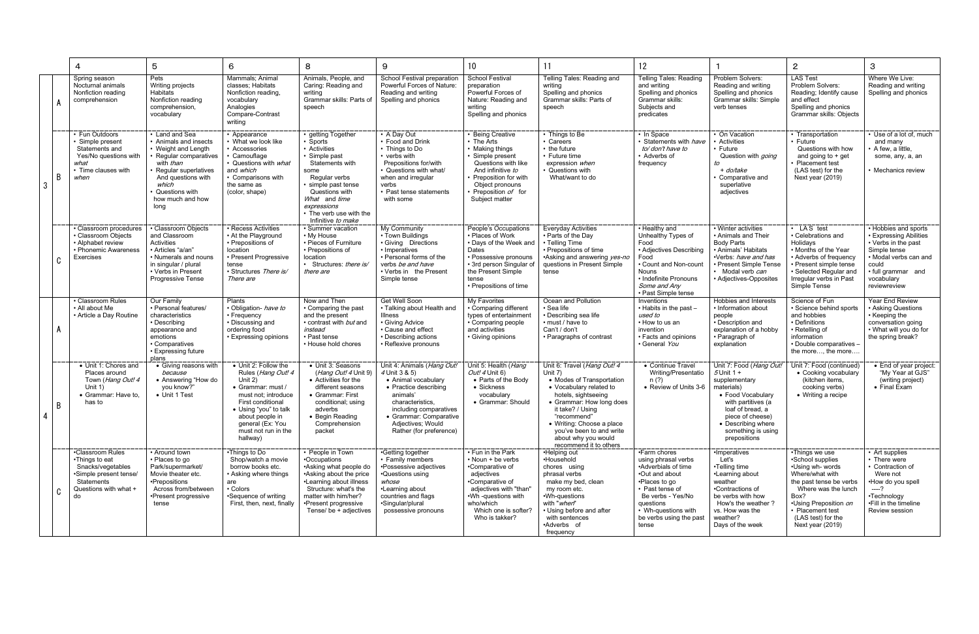|   |   | 4                                                                                                                                     | 5                                                                                                                                                                                                        | 6                                                                                                                                                                                                                         | 8                                                                                                                                                                                                                                     | 9                                                                                                                                                                                                                               | 10 <sup>°</sup>                                                                                                                                                                                                | 11                                                                                                                                                                                                                                                                                             | 12 <sup>°</sup>                                                                                                                                                                                               |                                                                                                                                                                                                                       | $\mathbf{2}$                                                                                                                                                                                                               | 3                                                                                                                                                                           |
|---|---|---------------------------------------------------------------------------------------------------------------------------------------|----------------------------------------------------------------------------------------------------------------------------------------------------------------------------------------------------------|---------------------------------------------------------------------------------------------------------------------------------------------------------------------------------------------------------------------------|---------------------------------------------------------------------------------------------------------------------------------------------------------------------------------------------------------------------------------------|---------------------------------------------------------------------------------------------------------------------------------------------------------------------------------------------------------------------------------|----------------------------------------------------------------------------------------------------------------------------------------------------------------------------------------------------------------|------------------------------------------------------------------------------------------------------------------------------------------------------------------------------------------------------------------------------------------------------------------------------------------------|---------------------------------------------------------------------------------------------------------------------------------------------------------------------------------------------------------------|-----------------------------------------------------------------------------------------------------------------------------------------------------------------------------------------------------------------------|----------------------------------------------------------------------------------------------------------------------------------------------------------------------------------------------------------------------------|-----------------------------------------------------------------------------------------------------------------------------------------------------------------------------|
|   |   | Spring season<br>Nocturnal animals<br>Nonfiction reading<br>comprehension                                                             | Pets<br>Writing projects<br><b>Habitats</b><br>Nonfiction reading<br>comprehension,<br>vocabulary                                                                                                        | Mammals; Animal<br>classes; Habitats<br>Nonfiction reading,<br>vocabulary<br>Analogies<br>Compare-Contrast<br>writing                                                                                                     | Animals, People, and<br>Caring: Reading and<br>writina<br>Grammar skills: Parts of<br>speech                                                                                                                                          | School Festival preparation<br>Powerful Forces of Nature:<br>Reading and writing<br>Spelling and phonics                                                                                                                        | <b>School Festival</b><br>preparation<br>Powerful Forces of<br>Nature: Reading and<br>writing<br>Spelling and phonics                                                                                          | Telling Tales: Reading and<br>writing<br>Spelling and phonics<br>Grammar skills: Parts of<br>speech                                                                                                                                                                                            | <b>Telling Tales: Reading</b><br>and writing<br>Spelling and phonics<br>Grammar skills:<br>Subjects and<br>predicates                                                                                         | Problem Solvers:<br>Reading and writing<br>Spelling and phonics<br>Grammar skills: Simple<br>verb tenses                                                                                                              | <b>LAS Test</b><br>Problem Solvers:<br>Reading; Identify cause<br>and effect<br>Spelling and phonics<br>Grammar skills: Objects                                                                                            | Where We Live:<br>Reading and writing<br>Spelling and phonics                                                                                                               |
| 3 | B | • Fun Outdoors<br>· Simple present<br>Statements and<br>Yes/No questions with<br>what<br>• Time clauses with<br>when                  | • Land and Sea<br>• Animals and insects<br>• Weight and Length<br>Regular comparatives<br>with than<br>Regular superlatives<br>And questions with<br>which<br>Questions with<br>how much and how<br>long | • Appearance<br>• What we look like<br>• Accessories<br>• Camouflage<br>• Questions with <i>what</i><br>and which<br>• Comparisons with<br>the same as<br>(color, shape)                                                  | • getting Together<br>· Sports<br>• Activities<br>· Simple past<br>Statements with<br>some<br>Regular verbs<br>· simple past tense<br>Questions with<br>What and time<br>expressions<br>• The verb use with the<br>Infinitive to make | • A Day Out<br>• Food and Drink<br>• Things to Do<br>verbs with<br>Prepositions for/with<br>• Questions with what/<br>when and irregular<br>verbs<br>• Past tense statements<br>with some                                       | • Being Creative<br>$\cdot$ The Arts<br>• Making things<br>· Simple present<br>Questions with like<br>And infinitive to<br>• Preposition for with<br>Object pronouns<br>• Preposition of for<br>Subject matter | • Things to Be<br>• Careers<br>• the future<br>• Future time<br>expression when<br>• Questions with<br>What/want to do                                                                                                                                                                         | • In Space<br>Statements with <i>have</i><br>to/don't have to<br>• Adverbs of<br>frequency                                                                                                                    | On Vacation<br>Activities<br>∙ Future<br>Question with <i>going</i><br>to<br>+ do/take<br>Comparative and<br>superlative<br>adjectives                                                                                | • Transportation<br>• Future<br>Questions with how<br>and going to $+$ get<br>Placement test<br>(LAS test) for the<br>Next year (2019)                                                                                     | • Use of a lot of, much<br>and many<br>A few, a little,<br>some, any, a, an<br>• Mechanics review                                                                           |
|   | C | • Classroom procedures<br>• Classroom Objects<br>• Alphabet review<br>• Phonemic Awareness<br>Exercises                               | • Classroom Objects<br>and Classroom<br>Activities<br>• Articles "a/an"<br>• Numerals and nouns<br>in singular / plural<br>• Verbs in Present<br><b>Progressive Tense</b>                                | • Recess Activities<br>• At the Playground<br>• Prepositions of<br>location<br>• Present Progressive<br>tense<br>· Structures There is/<br>There are                                                                      | · Summer vacation<br>• My House<br>• Pieces of Furniture<br>• Prepositions of<br>location<br>• Structures: there is/<br>there are                                                                                                     | My Community<br>• Town Buildings<br>· Giving Directions<br>• Imperatives<br>• Personal forms of the<br>verbs be and have<br>• Verbs in the Present<br>Simple tense                                                              | People's Occupations<br>• Places of Work<br>• Davs of the Week and<br>Dates<br>• Possessive pronouns<br>• 3rd person Singular of<br>the Present Simple<br>tense<br>• Prepositions of time                      | <b>Everyday Activities</b><br>• Parts of the Day<br>• Telling Time<br>• Prepositions of time<br>•Asking and answering yes-no<br>questions in Present Simple<br>tense                                                                                                                           | • Healthy and<br>Unhealthy Types of<br>Food<br>• Adjectives Describing<br>Food<br>Count and Non-count<br><b>Nouns</b><br>• Indefinite Pronouns<br>Some and Any<br>• Past Simple tense                         | • Winter activities<br>• Animals and Their<br><b>Body Parts</b><br>• Animals' Habitats<br>·Verbs: have and has<br>• Present Simple Tense<br>Modal verb can<br>• Adjectives-Opposites                                  | • LAS test<br>• Celebrations and<br>Holidays<br>• Months of the Year<br>• Adverbs of frequency<br>• Present simple tense<br>· Selected Regular and<br>Irregular verbs in Past<br>Simple Tense                              | • Hobbies and sports<br>• Expressing Abilities<br>• Verbs in the past<br>Simple tense<br>• Modal verbs can and<br>could<br>· full grammar and<br>vocabulary<br>reviewreview |
|   |   | • Classroom Rules<br>• All about Me<br>• Article a Day Routine                                                                        | Our Family<br>• Personal features/<br>characteristics<br>• Describina<br>appearance and<br>emotions<br>• Comparatives<br>• Expressing future<br>plans                                                    | <b>Plants</b><br>· Obligation- have to<br>• Frequency<br>• Discussing and<br>ordering food<br>• Expressing opinions                                                                                                       | Now and Then<br>• Comparing the past<br>and the present<br>• contrast with <i>but</i> and<br>instead<br>• Past tense<br>• House hold chores                                                                                           | Get Well Soon<br>• Talking about Health and<br><b>Illness</b><br>• Giving Advice<br>• Cause and effect<br>• Describing actions<br>• Reflexive pronouns                                                                          | <b>My Favorites</b><br>• Comparing different<br>types of entertainment<br>• Comparing people<br>and activities<br>• Giving opinions                                                                            | Ocean and Pollution<br>• Sea life<br>• Describing sea life<br>• must / have to<br>Can't / don't<br>• Paragraphs of contrast                                                                                                                                                                    | Inventions<br>• Habits in the past -<br>used to<br>• How to us an<br>invention<br>• Facts and opinions<br>General You                                                                                         | Hobbies and Interests<br>• Information about<br>people<br>• Description and<br>explanation of a hobby<br>• Paragraph of<br>explanation                                                                                | Science of Fun<br>· Science behind sports<br>and hobbies<br>• Definitions<br>• Retelling of<br>information<br>• Double comparatives -<br>the more, the more                                                                | Year End Review<br>• Asking Questions<br>• Keeping the<br>conversation going<br>• What will you do for<br>the spring break?                                                 |
|   | B | • Unit 1: Chores and<br>Places around<br>Town (Hang Out! 4<br>Unit $1)$<br>• Grammar: Have to.<br>has to                              | • Giving reasons with<br>because<br>• Answering "How do<br>vou know?"<br>• Unit 1 Test                                                                                                                   | • Unit 2: Follow the<br>Rules (Hang Out! 4<br>Unit 2)<br>• Grammar: must /<br>must not: introduce<br>First conditional<br>• Using "you" to talk<br>about people in<br>general (Ex: You<br>must not run in the<br>hallway) | • Unit 3: Seasons<br>( <i>Hang Out! 4</i> Unit 9)<br>• Activities for the<br>different seasons<br>• Grammar: First<br>conditional; using<br>adverbs<br>• Begin Reading<br>Comprehension<br>packet                                     | Unit 4: Animals (Hang Out!<br>4 Unit 3 & 5)<br>• Animal vocabulary<br>• Practice describing<br>animals'<br>characteristics,<br>including comparatives<br>• Grammar: Comparative<br>Adjectives; Would<br>Rather (for preference) | Unit 5: Health (Hang<br>Out! 4 Unit 6)<br>• Parts of the Body<br>• Sickness<br>vocabulary<br>• Grammar: Should                                                                                                 | Unit 6: Travel (Hang Out! 4<br>Unit 7)<br>• Modes of Transportation<br>• Vocabulary related to<br>hotels, sightseeing<br>• Grammar: How long does<br>it take? / Using<br>'recommend"<br>• Writing: Choose a place<br>you've been to and write<br>about why you would<br>recommend it to others | • Continue Travel<br>Writing/Presentatio<br>n (?)<br>• Review of Units 3-6                                                                                                                                    | Unit 7: Food (Hang Out!<br>$5$ Unit 1 +<br>supplementary<br>materials)<br>• Food Vocabulary<br>with partitives (a<br>loaf of bread, a<br>piece of cheese)<br>• Describing where<br>something is using<br>prepositions | Unit 7: Food (continued)<br>• Cooking vocabulary<br>(kitchen items.<br>cooking verbs)<br>• Writing a recipe                                                                                                                | • End of year project:<br>"My Year at GJS"<br>(writing project)<br>$\bullet$ Final Exam                                                                                     |
|   | C | •Classroom Rules<br>•Things to eat<br>Snacks/vegetables<br>•Simple present tense/<br><b>Statements</b><br>Questions with what +<br>do | • Around town<br>• Places to go<br>Park/supermarket/<br>Movie theater etc.<br>•Prepositions<br>Across from/between<br>•Present progressive<br>tense                                                      | •Things to Do<br>Shop/watch a movie<br>borrow books etc.<br>• Asking where things<br>are<br>• Colors<br>•Sequence of writing<br>First, then, next, finally                                                                | • People in Town<br>•Occupations<br>•Asking what people do<br>•Asking about the price<br>•Learning about illness<br>Structure: what's the<br>matter with him/her?<br>•Present progressive<br>Tense/ be + adjectives                   | •Getting together<br>• Family members<br>•Possessive adjectives<br>•Questions using<br>whose<br>•Learning about<br>countries and flags<br>·Singular/plural<br>possessive pronouns                                               | • Fun in the Park<br>• Noun + be verbs<br>•Comparative of<br>adjectives<br>•Comparative of<br>adjectives with "than"<br>.Wh -questions with<br>who/which<br>Which one is softer?<br>Who is takker?             | •Helping out<br>•Household<br>chores using<br>phrasal verbs<br>make my bed, clean<br>my room etc.<br>•Wh-questions<br>with "when"<br>• Using before and after<br>with sentences<br>•Adverbs of<br>frequency                                                                                    | •Farm chores<br>using phrasal verbs<br>•Adverbials of time<br>•Out and about<br>•Places to go<br>• Past tense of<br>Be verbs - Yes/No<br>questions<br>• Wh-questions with<br>be verbs using the past<br>tense | ·Imperatives<br>Let's<br>•Telling time<br>•Learning about<br>weather<br>•Contractions of<br>be verbs with how<br>How's the weather?<br>vs. How was the<br>weather?<br>Days of the week                                | •Things we use<br>•School supplies<br>•Using wh- words<br>Where/what with<br>the past tense be verbs<br>Where was the lunch<br>Box?<br>•Using Preposition on<br>• Placement test<br>(LAS test) for the<br>Next year (2019) | • Art supplies<br>• There were<br>• Contraction of<br>Were not<br>•How do you spell<br>$---?$<br>•Technology<br>•Fill in the timeline<br>Review session                     |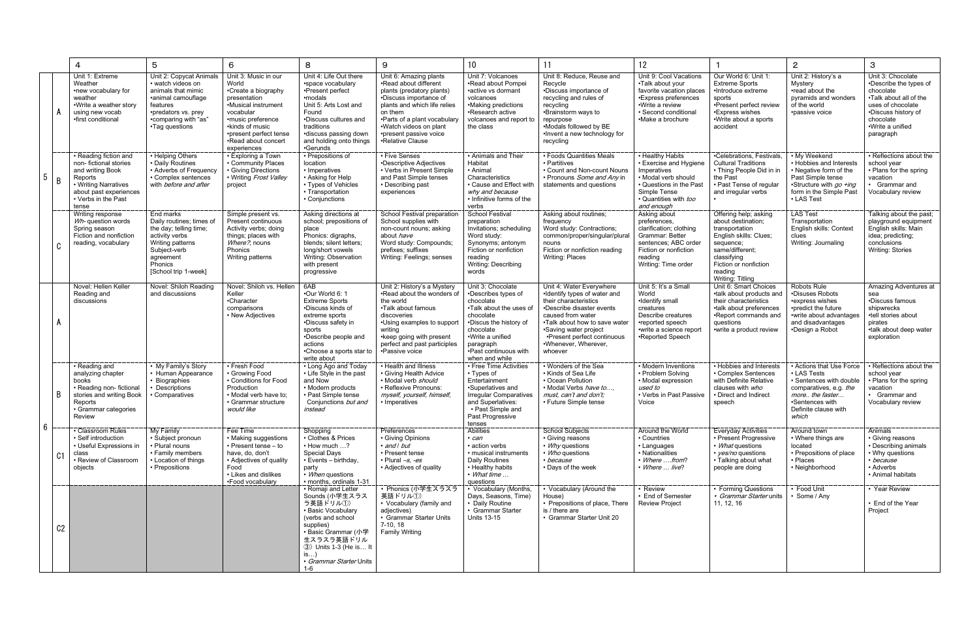|                |                | 4                                                                                                                                                               | 5                                                                                                                                                                     | 6                                                                                                                                                                                                                | 8                                                                                                                                                                                                                     | 9                                                                                                                                                                                                                                                         | 10                                                                                                                                                                                                                | 11                                                                                                                                                                                                                                                              | 12                                                                                                                                                               |                                                                                                                                                                                                | $\overline{2}$                                                                                                                                                      | 3                                                                                                                                                                            |
|----------------|----------------|-----------------------------------------------------------------------------------------------------------------------------------------------------------------|-----------------------------------------------------------------------------------------------------------------------------------------------------------------------|------------------------------------------------------------------------------------------------------------------------------------------------------------------------------------------------------------------|-----------------------------------------------------------------------------------------------------------------------------------------------------------------------------------------------------------------------|-----------------------------------------------------------------------------------------------------------------------------------------------------------------------------------------------------------------------------------------------------------|-------------------------------------------------------------------------------------------------------------------------------------------------------------------------------------------------------------------|-----------------------------------------------------------------------------------------------------------------------------------------------------------------------------------------------------------------------------------------------------------------|------------------------------------------------------------------------------------------------------------------------------------------------------------------|------------------------------------------------------------------------------------------------------------------------------------------------------------------------------------------------|---------------------------------------------------------------------------------------------------------------------------------------------------------------------|------------------------------------------------------------------------------------------------------------------------------------------------------------------------------|
| 5              |                | Unit 1: Extreme<br>Weather<br>•new vocabulary for<br>weather<br>•Write a weather story<br>using new vocab<br>•first conditional                                 | Unit 2: Copycat Animals<br>• watch videos on<br>animals that mimic<br>·animal camouflage<br>features<br>•predators vs. prey<br>•comparing with "as"<br>•Tag questions | Unit 3: Music in our<br>World<br>•Create a biography<br>presentation<br>•Musical instrument<br>vocabular<br>•music preference<br>•kinds of music<br>•present perfect tense<br>•Read about concert<br>experiences | Unit 4: Life Out there<br>•space vocabulary<br>•Present perfect<br>•modals<br>Unit 5: Arts Lost and<br>Found<br>•Discuss cultures and<br>traditions<br>discuss passing down<br>and holding onto things<br>•Gerunds    | Unit 6: Amazing plants<br>•Read about different<br>plants (predatory plants)<br>•Discuss importance of<br>plants and which life relies<br>on them<br>•Parts of a plant vocabulary<br>.Watch videos on plant<br>•present passive voice<br>•Relative Clause | Unit 7: Volcanoes<br>•Read about Pompei<br>active vs dormant<br>volcanoes<br>•Making predictions<br>•Research active<br>volcanoes and report to<br>the class                                                      | Unit 8: Reduce, Reuse and<br>Recycle<br>•Discuss importance of<br>recycling and rules of<br>recycling<br>•Brainstorm ways to<br>repurpose<br>•Modals followed by BE<br>. Invent a new technology for<br>recycling                                               | Unit 9: Cool Vacations<br>•Talk about your<br>favorite vacation places<br>•Express preferences<br>•Write a review<br>· Second conditional<br>•Make a brochure    | Our World 6: Unit 1:<br><b>Extreme Sports</b><br>•Introduce extreme<br>sports<br>•Present perfect review<br>•Express wishes<br>·Write about a sports<br>accident                               | Unit 2: History's a<br>Mystery<br>•read about the<br>pyramids and wonders<br>of the world<br>·passive voice                                                         | Unit 3: Chocolate<br>•Describe the types of<br>chocolate<br>•Talk about all of the<br>uses of chocolate<br>•Discuss history of<br>chocolate<br>•Write a unified<br>paragraph |
|                | B              | • Reading fiction and<br>non-fictional stories<br>and writing Book<br>Reports<br>• Writing Narratives<br>about past experiences<br>• Verbs in the Past<br>tense | • Helping Others<br>• Daily Routines<br>• Adverbs of Frequency<br>• Complex sentences<br>with <i>before and after</i>                                                 | • Exploring a Town<br>• Community Places<br>• Giving Directions<br>• Writing Frost Valley<br>project                                                                                                             | • Prepositions of<br>location<br>• Imperatives<br>• Asking for Help<br>• Types of Vehicles<br>• Transportation<br>• Conjunctions                                                                                      | • Five Senses<br>•Descriptive Adjectives<br>• Verbs in Present Simple<br>and Past Simple tenses<br>• Describing past<br>experiences                                                                                                                       | • Animals and Their<br>Habitat<br>• Animal<br>Characteristics<br>• Cause and Effect with<br>why and because<br>• Infinitive forms of the<br>verbs                                                                 | • Foods Quantities Meals<br>• Partitives<br>• Count and Non-count Nouns<br>• Pronouns Some and Any in<br>statements and questions                                                                                                                               | • Healthy Habits<br>• Exercise and Hygiene<br>Imperatives<br>· Modal verb should<br>Questions in the Past<br>Simple Tense<br>• Quantities with too<br>and enough | •Celebrations. Festivals.<br><b>Cultural Traditions</b><br>• Thing People Did in in<br>the Past<br>• Past Tense of regular<br>and irregular verbs                                              | My Weekend<br>• Hobbies and Interests<br>• Negative form of the<br>Past Simple tense<br>•Structure with go +ing<br>form in the Simple Past<br>• LAS Test            | • Reflections about the<br>school year<br>• Plans for the spring<br>vacation<br>• Grammar and<br>Vocabulary review                                                           |
|                | C              | Writing response<br>Wh- question words<br>Spring season<br>Fiction and nonfiction<br>reading, vocabulary                                                        | End marks<br>Daily routines; times of<br>the day; telling time;<br>activity verbs<br>Writing patterns<br>Subject-verb<br>agreement<br>Phonics<br>[School trip 1-week] | Simple present vs.<br>Present continuous<br>Activity verbs; doing<br>things; places with<br>Where?, nouns<br>Phonics<br>Writing patterns                                                                         | Asking directions at<br>school; prepositions of<br>place<br>Phonics: digraphs,<br>blends; silent letters;<br>long/short vowels<br>Writing: Observation<br>with present<br>progressive                                 | School Festival preparation<br>School supplies with<br>non-count nouns; asking<br>about have<br>Word study: Compounds;<br>prefixes; suffixes<br>Writing: Feelings; senses                                                                                 | <b>School Festival</b><br>preparation<br>Invitations; scheduling<br>Word study:<br>Synonyms; antonym<br>Fiction or nonfiction<br>reading<br>Writing: Describing<br>words                                          | Asking about routines;<br>frequency<br>Word study: Contractions;<br>common/proper/singular/plural<br>nouns<br>Fiction or nonfiction reading<br>Writing: Places                                                                                                  | Asking about<br>preferences,<br>clarification; clothing<br>Grammar: Better<br>sentences; ABC order<br>Fiction or nonfiction<br>reading<br>Writing: Time order    | Offering help; asking<br>about destination;<br>transportation<br>English skills: Clues;<br>sequence;<br>same/different;<br>classifying<br>Fiction or nonfiction<br>reading<br>Writing: Titling | <b>LAS Test</b><br>Transportation<br>English skills: Context<br>clues<br>Writing: Journaling                                                                        | Talking about the past;<br>playground equipment<br>English skills: Main<br>idea; predicting;<br>conclusions<br><b>Writing: Stories</b>                                       |
| $6\phantom{.}$ |                | Novel: Hellen Keller<br>Reading and<br>discussions                                                                                                              | Novel: Shiloh Reading<br>and discussions                                                                                                                              | Novel: Shiloh vs. Hellen<br>Keller<br>•Character<br>comparisons<br>• New Adjectives                                                                                                                              | 6AB<br>.Our World 6: 1<br><b>Extreme Sports</b><br>•Discuss kinds of<br>extreme sports<br>•Discuss safety in<br>sports<br>•Describe people and<br>actions<br>•Choose a sports star to<br>write about                  | Unit 2: History's a Mystery<br>.Read about the wonders of<br>the world<br>•Talk about famous<br>discoveries<br>•Using examples to support<br>writing<br>• keep going with present<br>perfect and past participles<br>•Passive voice                       | Unit 3: Chocolate<br>•Describes types of<br>chocolate<br>.Talk about the uses of<br>chocolate<br>•Discus the history of<br>chocolate<br>·Write a unified<br>paragraph<br>. Past continuous with<br>when and while | Unit 4: Water Everywhere<br>•Identify types of water and<br>their characteristics<br>•Describe disaster events<br>caused from water<br>.Talk about how to save water<br>•Saving water project<br>•Present perfect continuous<br>•Whenever, Wherever,<br>whoever | Unit 5: It's a Small<br>World<br>·Identify small<br>creatures<br>Describe creatures<br>•reported speech<br>•write a science report<br>•Reported Speech           | Unit 6: Smart Choices<br>•talk about products and<br>their characteristics<br>•talk about preferences<br>•Report commands and<br>questions<br>•write a product review                          | Robots Rule<br>•Disuses Robots<br>•express wishes<br>•predict the future<br>•write about advantages<br>and disadvantages<br>•Design a Robot                         | Amazing Adventures at<br>sea<br>•Discuss famous<br>shipwrecks<br>•tell stories about<br>pirates<br>.talk about deep water<br>exploration                                     |
|                | B.             | • Reading and<br>analyzing chapter<br>books<br>• Reading non- fictional<br>stories and writing Book<br>Reports<br>• Grammar categories<br>Review                | • My Family's Story<br>• Human Appearance<br>• Biographies<br>Descriptions<br>Comparatives                                                                            | • Fresh Food<br>• Growing Food<br>• Conditions for Food<br>Production<br>• Modal verb have to:<br>• Grammar structure<br>would like                                                                              | • Long Ago and Today<br>• Life Style in the past<br>and Now<br>• Modern products<br>• Past Simple tense<br>Conjunctions but and<br>instead                                                                            | • Health and Illness<br>• Giving Health Advice<br>• Modal verb should<br>· Reflexive Pronouns:<br>myself, yourself, himself<br>• Imperatives                                                                                                              | • Free Time Activities<br>• Types of<br>Entertainment<br>•Superlatives and<br><b>Irregular Comparatives</b><br>and Superlatives:<br>• Past Simple and<br>Past Progressive<br>tenses                               | • Wonders of the Sea<br>• Kinds of Sea Life<br>• Ocean Pollution<br>• Modal Verbs have to<br>must, can't and don't:<br>• Future Simple tense                                                                                                                    | • Modern Inventions<br>• Problem Solving<br>• Modal expression<br>used to<br>• Verbs in Past Passive<br>Voice                                                    | • Hobbies and Interests<br>• Complex Sentences<br>with Definite Relative<br>clauses with who<br>• Direct and Indirect<br>speech                                                                | • Actions that Use Force<br>• LAS Tests<br>· Sentences with double<br>comparatives, e.g. the<br>more the faster<br>•Sentences with<br>Definite clause with<br>which | • Reflections about the<br>school year<br>• Plans for the spring<br>vacation<br>• Grammar and<br>Vocabulary review                                                           |
|                | C <sub>1</sub> | • Classroom Rules<br>• Self introduction<br>• Useful Expressions in<br>class<br>• Review of Classroom<br>objects                                                | My Family<br>· Subject pronoun<br>• Plural nouns<br>• Family members<br>• Location of things<br>• Prepositions                                                        | Fee Time<br>• Making suggestions<br>• Present tense - to<br>have, do, don't<br>• Adjectives of quality<br>Food<br>• Likes and dislikes<br>•Food vocabulary                                                       | Shopping<br>• Clothes & Prices<br>$\cdot$ How much $\ldots$ ?<br><b>Special Days</b><br>• Events - birthday,<br>party<br>• When questions<br>· months, ordinals 1-31                                                  | Preferences<br>• Giving Opinions<br>• and I but<br>• Present tense<br>• Plural -s, -es<br>• Adjectives of quality                                                                                                                                         | <b>Abilities</b><br>• can<br>• action verbs<br>· musical instruments<br>Daily Routines<br>• Healthy habits<br>• What time<br>questions                                                                            | <b>School Subjects</b><br>• Giving reasons<br>• Why questions<br>• Who questions<br>• because<br>• Days of the week                                                                                                                                             | Around the World<br>• Countries<br>• Languages<br>• Nationalities<br>• Where from?<br>• Where  live?                                                             | <b>Everyday Activities</b><br>• Present Progressive<br>• What questions<br>• <i>ves/no</i> questions<br>• Talking about what<br>people are doing                                               | Around town<br>• Where things are<br>located<br>• Prepositions of place<br>• Places<br>• Neighborhood                                                               | Animals<br>• Giving reasons<br>• Describing animals<br>• Why questions<br>• because<br>• Adverbs<br>• Animal habitats                                                        |
|                | C <sub>2</sub> |                                                                                                                                                                 |                                                                                                                                                                       |                                                                                                                                                                                                                  | • Romaji and Letter<br>Sounds (小学生スラス<br>ラ英語ドリル①)<br>• Basic Vocabulary<br>(verbs and school<br>supplies)<br>• Basic Grammar (小学<br>生スラスラ英語ドリル<br>3) Units 1-3 (He is It<br>is)<br>• Grammar Starter Units<br>$1 - 6$ | • Phonics (小学生スラスラ<br>英語ドリル①)<br>• Vocabulary (family and<br>adjectives)<br>• Grammar Starter Units<br>$7-10, 18$<br><b>Family Writing</b>                                                                                                                | • Vocabulary (Months,<br>Days, Seasons, Time)<br>• Daily Routine<br>• Grammar Starter<br><b>Units 13-15</b>                                                                                                       | • Vocabulary (Around the<br>House)<br>• Prepositions of place. There<br>is / there are<br>• Grammar Starter Unit 20                                                                                                                                             | • Review<br>• End of Semester<br><b>Review Project</b>                                                                                                           | • Forming Questions<br>• Grammar Starter units<br>11, 12, 16                                                                                                                                   | • Food Unit<br>• Some / Any                                                                                                                                         | • Year Review<br>• End of the Year<br>Project                                                                                                                                |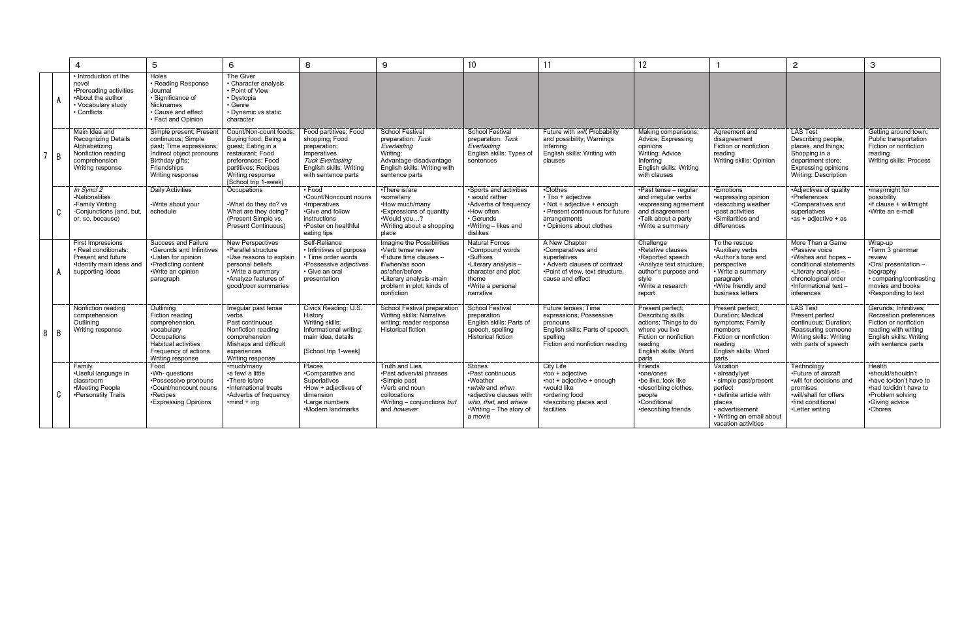|        | $\overline{4}$                                                                                                          | 5                                                                                                                                                          | $6\phantom{1}$                                                                                                                                                                   | 8                                                                                                                                                   | 9                                                                                                                                                                                      | 10 <sup>°</sup>                                                                                                                                                    | 11                                                                                                                                          | 12                                                                                                                                                     |                                                                                                                                                                          | $\overline{2}$                                                                                                                                                           | $\mathbf{3}$                                                                                                                                       |
|--------|-------------------------------------------------------------------------------------------------------------------------|------------------------------------------------------------------------------------------------------------------------------------------------------------|----------------------------------------------------------------------------------------------------------------------------------------------------------------------------------|-----------------------------------------------------------------------------------------------------------------------------------------------------|----------------------------------------------------------------------------------------------------------------------------------------------------------------------------------------|--------------------------------------------------------------------------------------------------------------------------------------------------------------------|---------------------------------------------------------------------------------------------------------------------------------------------|--------------------------------------------------------------------------------------------------------------------------------------------------------|--------------------------------------------------------------------------------------------------------------------------------------------------------------------------|--------------------------------------------------------------------------------------------------------------------------------------------------------------------------|----------------------------------------------------------------------------------------------------------------------------------------------------|
|        | • Introduction of the<br>novel<br>•Prereading activities<br>•About the author<br>• Vocabulary study<br>• Conflicts      | Holes<br>• Reading Response<br>Journal<br>• Significance of<br><b>Nicknames</b><br>• Cause and effect<br>• Fact and Opinion                                | The Giver<br>• Character analysis<br>• Point of View<br>• Dystopia<br>• Genre<br>• Dynamic vs static<br>character                                                                |                                                                                                                                                     |                                                                                                                                                                                        |                                                                                                                                                                    |                                                                                                                                             |                                                                                                                                                        |                                                                                                                                                                          |                                                                                                                                                                          |                                                                                                                                                    |
| 7 B    | Main Idea and<br><b>Recognizing Details</b><br>Alphabetizing<br>Nonfiction reading<br>comprehension<br>Writing response | Simple present; Present<br>continuous; Simple<br>past; Time expressions;<br>Indirect object pronouns<br>Birthday gifts;<br>Friendships<br>Writing response | Count/Non-count foods:<br>Buying food; Being a<br>guest; Eating in a<br>restaurant: Food<br>preferences; Food<br>partitives: Recipes<br>Writing response<br>[School trip 1-week] | Food partitives; Food<br>shopping; Food<br>preparation;<br>Imperatives<br><b>Tuck Everlasting</b><br>English skills: Writing<br>with sentence parts | <b>School Festival</b><br>preparation: Tuck<br>Everlasting<br>Writina:<br>Advantage-disadvantage<br>English skills: Writing with<br>sentence parts                                     | School Festival<br>preparation: Tuck<br>Everlasting<br>English skills: Types of<br>sentences                                                                       | Future with will, Probability<br>and possibility; Warnings<br>Inferring<br>English skills: Writing with<br>clauses                          | Making comparisons:<br>Advice; Expressing<br>opinions<br>Writing: Advice<br>Inferring<br>English skills: Writing<br>with clauses                       | Agreement and<br>disagreement<br>Fiction or nonfiction<br>reading<br>Writing skills: Opinion                                                                             | <b>LAS Test</b><br>Describing people,<br>places, and things;<br>Shopping in a<br>department store;<br>Expressing opinions<br><b>Writing: Description</b>                 | Getting around town:<br>Public transportation<br>Fiction or nonfiction<br>reading<br>Writing skills: Process                                       |
| C      | In Sync! 2<br>-Nationalities<br>-Family Writing<br>-Conjunctions (and, but,<br>or, so, because)                         | Daily Activities<br>-Write about your<br>schedule                                                                                                          | Occupations<br>-What do they do? vs<br>What are they doing?<br>(Present Simple vs.<br>Present Continuous)                                                                        | $\cdot$ Food<br>•Count/Noncount nouns<br>•Imperatives<br>•Give and follow<br>instructions<br>•Poster on healthful<br>eating tips                    | •There is/are<br>•some/any<br>•How much/many<br>•Expressions of quantity<br>•Would you?<br>•Writing about a shopping<br>place                                                          | •Sports and activities<br>• would rather<br>•Adverbs of frequency<br>•How often<br>• Gerunds<br>•Writing – likes and<br>dislikes                                   | •Clothes<br>• Too + adjective<br>• Not + adjective + enough<br>• Present continuous for future<br>arrangements<br>• Opinions about clothes  | ·Past tense - regular<br>and irregular verbs<br>•expressing agreement<br>and disagreement<br>•Talk about a party<br>•Write a summary                   | •Emotions<br>•expressing opinion<br>•describing weather<br>•past activities<br>•Similarities and<br>differences                                                          | •Adjectives of quality<br>•Preferences<br>•Comparatives and<br>superlatives<br>$\cdot$ as + adjective + as                                                               | •may/might for<br>possibility<br>•if clause + will/might<br>·Write an e-mail                                                                       |
|        | <b>First Impressions</b><br>· Real conditionals:<br>Present and future<br>·Identify main ideas and<br>supporting ideas  | Success and Failure<br>•Gerunds and Infinitives<br>•Listen for opinion<br>•Predicting content<br>.Write an opinion<br>paragraph                            | <b>New Perspectives</b><br>•Parallel structure<br>•Use reasons to explain<br>personal beliefs<br>• Write a summary<br>•Analyze features of<br>good/poor summaries                | Self-Reliance<br>• Infinitives of purpose<br>• Time order words<br>•Possessive adiectives<br>• Give an oral<br>presentation                         | Imagine the Possibilities<br>•Verb tense review<br>.Future time clauses -<br>if/when/as soon<br>as/after/before<br>•Literary analysis -main<br>problem in plot; kinds of<br>nonfiction | <b>Natural Forces</b><br>•Compound words<br>•Suffixes<br>•Literary analysis -<br>character and plot:<br>theme<br>•Write a personal<br>narrative                    | A New Chapter<br>•Comparatives and<br>superlatives<br>• Adverb clauses of contrast<br>.Point of view, text structure,<br>cause and effect   | Challenge<br>•Relative clauses<br>•Reported speech<br>•Analyze text structure.<br>author's purpose and<br>stvle<br>•Write a research<br>report         | To the rescue<br>•Auxiliary verbs<br>•Author's tone and<br>perspective<br>• Write a summary<br>paragraph<br>•Write friendly and<br>business letters                      | More Than a Game<br>•Passive voice<br>-Wishes and hopes -<br>conditional statements<br>•Literary analysis -<br>chronological order<br>-Informational text-<br>inferences | Wrap-up<br>•Term 3 grammar<br>review<br>-Oral presentation -<br>biography<br>• comparing/contrasting<br>movies and books<br>•Responding to text    |
| 8<br>B | Nonfiction reading<br>comprehension<br>Outlining<br>Writing response                                                    | Outlining<br>Fiction reading<br>comprehension,<br>vocabulary<br>Occupations<br><b>Habitual activities</b><br>Frequency of actions<br>Writing response      | Irregular past tense<br>verbs<br>Past continuous<br>Nonfiction reading<br>comprehension<br>Mishaps and difficult<br>experiences<br>Writing response                              | Civics Reading: U.S.<br>History<br>Writing skills:<br>Informational writing:<br>main idea, details<br>[School trip 1-week]                          | School Festival preparation<br>Writing skills: Narrative<br>writing; reader response<br><b>Historical fiction</b>                                                                      | <b>School Festival</b><br>preparation<br>English skills: Parts of<br>speech, spelling<br><b>Historical fiction</b>                                                 | Future tenses: Time<br>expressions; Possessive<br>pronouns<br>English skills: Parts of speech<br>spelling<br>Fiction and nonfiction reading | Present perfect:<br>Describing skills.<br>actions: Things to do<br>where you live<br>Fiction or nonfiction<br>reading<br>English skills: Word<br>parts | Present perfect:<br><b>Duration: Medical</b><br>symptoms; Family<br>members<br>Fiction or nonfiction<br>reading<br>English skills: Word<br>parts                         | <b>LAS Test</b><br>Present perfect<br>continuous; Duration;<br>Reassuring someone<br>Writing skills: Writing<br>with parts of speech                                     | Gerunds: Infinitives:<br>Recreation preferences<br>Fiction or nonfiction<br>reading with writing<br>English skills: Writing<br>with sentence parts |
| C      | Family<br>·Useful language in<br>classroom<br>•Meeting People<br>•Personality Traits                                    | Food<br>.Wh- questions<br>•Possessive pronouns<br>•Count/noncount nouns<br>•Recipes<br>•Expressing Opinions                                                | •much/many<br>•a few/ a little<br>•There is/are<br>·International treats<br>•Adverbs of frequency<br>$\cdot$ mind + ina                                                          | Places<br>•Comparative and<br>Superlatives<br>. How + adiectives of<br>dimension<br>•Large numbers<br>•Modern landmarks                             | <b>Truth and Lies</b><br>•Past advervial phrases<br>•Simple past<br>•Verb and noun<br>collocations<br>•Writing – conjunctions but<br>and <i>however</i>                                | <b>Stories</b><br>•Past continuous<br>•Weather<br>• while and when<br>•adjective clauses with<br>who, that, and where<br>$\cdot$ Writing – The story of<br>a movie | City Life<br>•too + adjective<br>•not + adiective + enough<br>•would like<br>•ordering food<br>•describing places and<br>facilities         | Friends<br>•one/ones<br>•be like. look like<br>•describing clothes.<br>people<br>•Conditional<br>describing friends                                    | Vacation<br>· already/yet<br>· simple past/present<br>perfect<br>· definite article with<br>places<br>• advertisement<br>• Writing an email about<br>vacation activities | Technology<br>•Future of aircraft<br>.will for decisions and<br>promises<br>.will/shall for offers<br>•first conditional<br>•Letter writing                              | Health<br>•should/shouldn't<br>•have to/don't have to<br>•had to/didn't have to<br>•Problem solving<br>•Giving advice<br>•Chores                   |